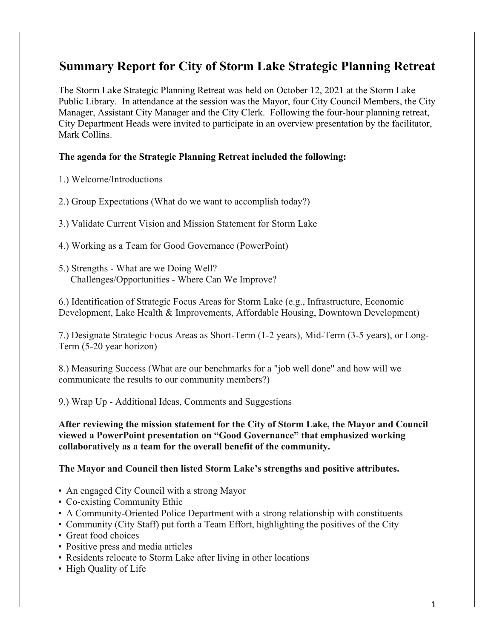# **Summary Report for City of Storm Lake Strategic Planning Retreat**

The Storm Lake Strategic Planning Retreat was held on October 12, 2021 at the Storm Lake Public Library. In attendance at the session was the Mayor, four City Council Members, the City Manager, Assistant City Manager and the City Clerk. Following the four-hour planning retreat, City Department Heads were invited to participate in an overview presentation by the facilitator, Mark Collins.

## **The agenda for the Strategic Planning Retreat included the following:**

- 1.) Welcome/Introductions
- 2.) Group Expectations (What do we want to accomplish today?)
- 3.) Validate Current Vision and Mission Statement for Storm Lake
- 4.) Working as a Team for Good Governance (PowerPoint)
- 5.) Strengths What are we Doing Well? Challenges/Opportunities - Where Can We Improve?

6.) Identification of Strategic Focus Areas for Storm Lake (e.g., Infrastructure, Economic Development, Lake Health & Improvements, Affordable Housing, Downtown Development)

7.) Designate Strategic Focus Areas as Short-Term (1-2 years), Mid-Term (3-5 years), or Long-Term (5-20 year horizon)

8.) Measuring Success (What are our benchmarks for a "job well done" and how will we communicate the results to our community members?)

9.) Wrap Up - Additional Ideas, Comments and Suggestions

**After reviewing the mission statement for the City of Storm Lake, the Mayor and Council viewed a PowerPoint presentation on "Good Governance" that emphasized working collaboratively as a team for the overall benefit of the community.** 

#### **The Mayor and Council then listed Storm Lake's strengths and positive attributes.**

- An engaged City Council with a strong Mayor
- Co-existing Community Ethic
- A Community-Oriented Police Department with a strong relationship with constituents
- Community (City Staff) put forth a Team Effort, highlighting the positives of the City
- Great food choices
- Positive press and media articles
- Residents relocate to Storm Lake after living in other locations
- High Quality of Life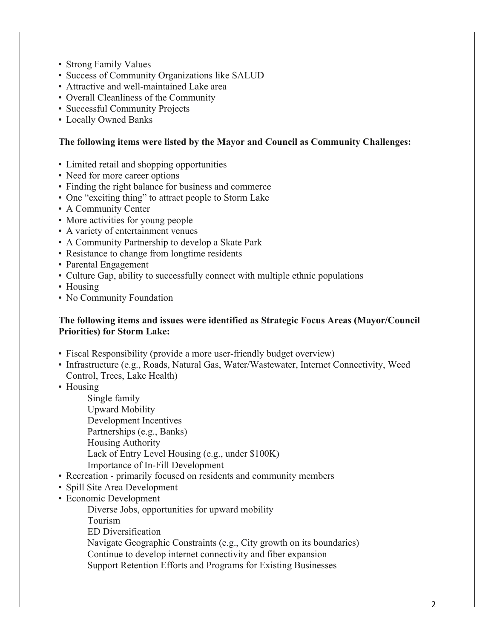- Strong Family Values
- Success of Community Organizations like SALUD
- Attractive and well-maintained Lake area
- Overall Cleanliness of the Community
- Successful Community Projects
- Locally Owned Banks

## **The following items were listed by the Mayor and Council as Community Challenges:**

- Limited retail and shopping opportunities
- Need for more career options
- Finding the right balance for business and commerce
- One "exciting thing" to attract people to Storm Lake
- A Community Center
- More activities for young people
- A variety of entertainment venues
- A Community Partnership to develop a Skate Park
- Resistance to change from longtime residents
- Parental Engagement
- Culture Gap, ability to successfully connect with multiple ethnic populations
- Housing
- No Community Foundation

# **The following items and issues were identified as Strategic Focus Areas (Mayor/Council Priorities) for Storm Lake:**

- Fiscal Responsibility (provide a more user-friendly budget overview)
- Infrastructure (e.g., Roads, Natural Gas, Water/Wastewater, Internet Connectivity, Weed Control, Trees, Lake Health)
- Housing

Single family

Upward Mobility

Development Incentives

- Partnerships (e.g., Banks)
- Housing Authority

Lack of Entry Level Housing (e.g., under \$100K)

- Importance of In-Fill Development
- Recreation primarily focused on residents and community members
- Spill Site Area Development
- Economic Development

Diverse Jobs, opportunities for upward mobility

Tourism

ED Diversification

Navigate Geographic Constraints (e.g., City growth on its boundaries)

Continue to develop internet connectivity and fiber expansion

Support Retention Efforts and Programs for Existing Businesses